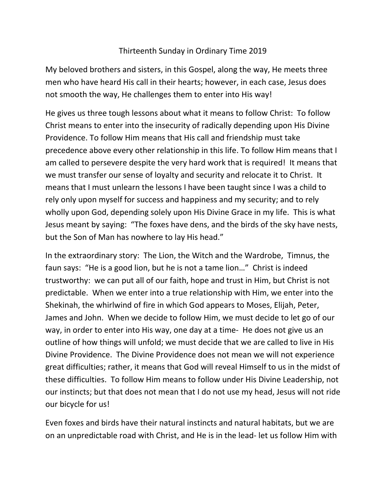## Thirteenth Sunday in Ordinary Time 2019

My beloved brothers and sisters, in this Gospel, along the way, He meets three men who have heard His call in their hearts; however, in each case, Jesus does not smooth the way, He challenges them to enter into His way!

He gives us three tough lessons about what it means to follow Christ: To follow Christ means to enter into the insecurity of radically depending upon His Divine Providence. To follow Him means that His call and friendship must take precedence above every other relationship in this life. To follow Him means that I am called to persevere despite the very hard work that is required! It means that we must transfer our sense of loyalty and security and relocate it to Christ. It means that I must unlearn the lessons I have been taught since I was a child to rely only upon myself for success and happiness and my security; and to rely wholly upon God, depending solely upon His Divine Grace in my life. This is what Jesus meant by saying: "The foxes have dens, and the birds of the sky have nests, but the Son of Man has nowhere to lay His head."

In the extraordinary story: The Lion, the Witch and the Wardrobe, Timnus, the faun says: "He is a good lion, but he is not a tame lion…" Christ is indeed trustworthy: we can put all of our faith, hope and trust in Him, but Christ is not predictable. When we enter into a true relationship with Him, we enter into the Shekinah, the whirlwind of fire in which God appears to Moses, Elijah, Peter, James and John. When we decide to follow Him, we must decide to let go of our way, in order to enter into His way, one day at a time- He does not give us an outline of how things will unfold; we must decide that we are called to live in His Divine Providence. The Divine Providence does not mean we will not experience great difficulties; rather, it means that God will reveal Himself to us in the midst of these difficulties. To follow Him means to follow under His Divine Leadership, not our instincts; but that does not mean that I do not use my head, Jesus will not ride our bicycle for us!

Even foxes and birds have their natural instincts and natural habitats, but we are on an unpredictable road with Christ, and He is in the lead- let us follow Him with